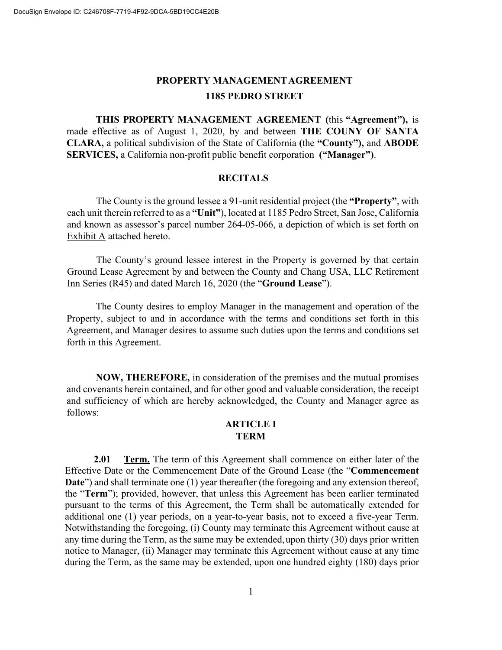# PROPERTY MANAGEMENT AGREEMENT **1185 PEDRO STREET**

**THIS PROPERTY MANAGEMENT AGREEMENT (**this **"Agreement"),** is made effective as of August 1, 2020, by and between **THE COUNY OF SANTA CLARA,** a political subdivision of the State of California **(**the **"County"),** and **ABODE SERVICES,** a California non-profit public benefit corporation **("Manager")**.

#### **RECITALS**

The County is the ground lessee a 91-unit residential project (the **"Property"**, with each unit therein referred to as a **"Unit"**), located at 1185 Pedro Street, San Jose, California and known as assessor's parcel number 264-05-066, a depiction of which is set forth on Exhibit A attached hereto.

The County's ground lessee interest in the Property is governed by that certain Ground Lease Agreement by and between the County and Chang USA, LLC Retirement Inn Series (R45) and dated March 16, 2020 (the "**Ground Lease**").

The County desires to employ Manager in the management and operation of the Property, subject to and in accordance with the terms and conditions set forth in this Agreement, and Manager desires to assume such duties upon the terms and conditions set forth in this Agreement.

**NOW, THEREFORE,** in consideration of the premises and the mutual promises and covenants herein contained, and for other good and valuable consideration, the receipt and sufficiency of which are hereby acknowledged, the County and Manager agree as follows:

#### **ARTICLE I TERM**

**2.01 Term.** The term of this Agreement shall commence on either later of the Effective Date or the Commencement Date of the Ground Lease (the "**Commencement Date**") and shall terminate one (1) year thereafter (the foregoing and any extension thereof, the "**Term**"); provided, however, that unless this Agreement has been earlier terminated pursuant to the terms of this Agreement, the Term shall be automatically extended for additional one (1) year periods, on a year-to-year basis, not to exceed a five-year Term. Notwithstanding the foregoing, (i) County may terminate this Agreement without cause at any time during the Term, as the same may be extended,upon thirty (30) days prior written notice to Manager, (ii) Manager may terminate this Agreement without cause at any time during the Term, as the same may be extended, upon one hundred eighty (180) days prior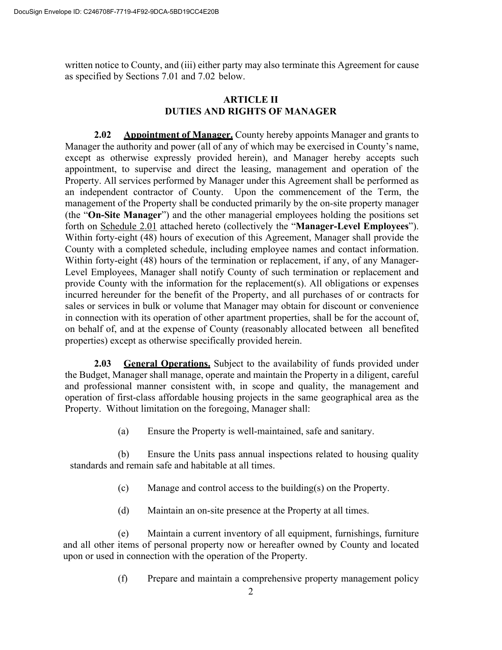written notice to County, and (iii) either party may also terminate this Agreement for cause as specified by Sections 7.01 and 7.02 below.

#### **ARTICLE II DUTIES AND RIGHTS OF MANAGER**

**2.02 Appointment of Manager.** County hereby appoints Manager and grants to Manager the authority and power (all of any of which may be exercised in County's name, except as otherwise expressly provided herein), and Manager hereby accepts such appointment, to supervise and direct the leasing, management and operation of the Property. All services performed by Manager under this Agreement shall be performed as an independent contractor of County. Upon the commencement of the Term, the management of the Property shall be conducted primarily by the on-site property manager (the "**On-Site Manager**") and the other managerial employees holding the positions set forth on Schedule 2.01 attached hereto (collectively the "**Manager-Level Employees**"). Within forty-eight (48) hours of execution of this Agreement, Manager shall provide the County with a completed schedule, including employee names and contact information. Within forty-eight (48) hours of the termination or replacement, if any, of any Manager-Level Employees, Manager shall notify County of such termination or replacement and provide County with the information for the replacement(s). All obligations or expenses incurred hereunder for the benefit of the Property, and all purchases of or contracts for sales or services in bulk or volume that Manager may obtain for discount or convenience in connection with its operation of other apartment properties, shall be for the account of, on behalf of, and at the expense of County (reasonably allocated between all benefited properties) except as otherwise specifically provided herein.

**2.03 General Operations.** Subject to the availability of funds provided under the Budget, Manager shall manage, operate and maintain the Property in a diligent, careful and professional manner consistent with, in scope and quality, the management and operation of first-class affordable housing projects in the same geographical area as the Property. Without limitation on the foregoing, Manager shall:

(a) Ensure the Property is well-maintained, safe and sanitary.

(b) Ensure the Units pass annual inspections related to housing quality standards and remain safe and habitable at all times.

- (c) Manage and control access to the building(s) on the Property.
- (d) Maintain an on-site presence at the Property at all times.

(e) Maintain a current inventory of all equipment, furnishings, furniture and all other items of personal property now or hereafter owned by County and located upon or used in connection with the operation of the Property.

(f) Prepare and maintain a comprehensive property management policy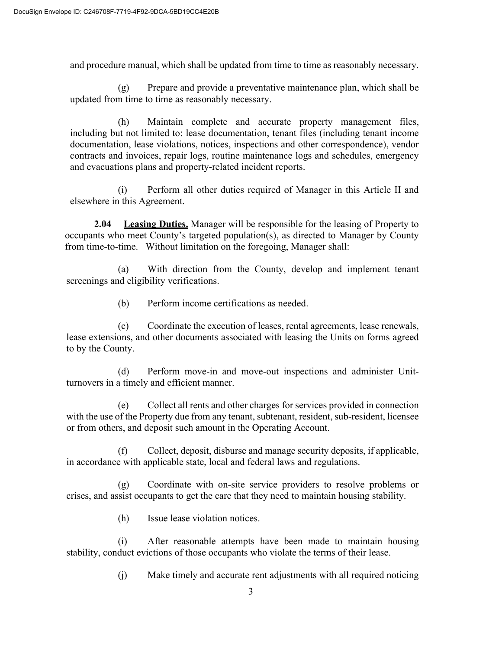and procedure manual, which shall be updated from time to time as reasonably necessary.

(g) Prepare and provide a preventative maintenance plan, which shall be updated from time to time as reasonably necessary.

(h) Maintain complete and accurate property management files, including but not limited to: lease documentation, tenant files (including tenant income documentation, lease violations, notices, inspections and other correspondence), vendor contracts and invoices, repair logs, routine maintenance logs and schedules, emergency and evacuations plans and property-related incident reports.

(i) Perform all other duties required of Manager in this Article II and elsewhere in this Agreement.

**2.04 Leasing Duties.** Manager will be responsible for the leasing of Property to occupants who meet County's targeted population(s), as directed to Manager by County from time-to-time. Without limitation on the foregoing, Manager shall:

(a) With direction from the County, develop and implement tenant screenings and eligibility verifications.

(b) Perform income certifications as needed.

(c) Coordinate the execution of leases, rental agreements, lease renewals, lease extensions, and other documents associated with leasing the Units on forms agreed to by the County.

(d) Perform move-in and move-out inspections and administer Unitturnovers in a timely and efficient manner.

(e) Collect all rents and other charges for services provided in connection with the use of the Property due from any tenant, subtenant, resident, sub-resident, licensee or from others, and deposit such amount in the Operating Account.

(f) Collect, deposit, disburse and manage security deposits, if applicable, in accordance with applicable state, local and federal laws and regulations.

(g) Coordinate with on-site service providers to resolve problems or crises, and assist occupants to get the care that they need to maintain housing stability.

(h) Issue lease violation notices.

(i) After reasonable attempts have been made to maintain housing stability, conduct evictions of those occupants who violate the terms of their lease.

(j) Make timely and accurate rent adjustments with all required noticing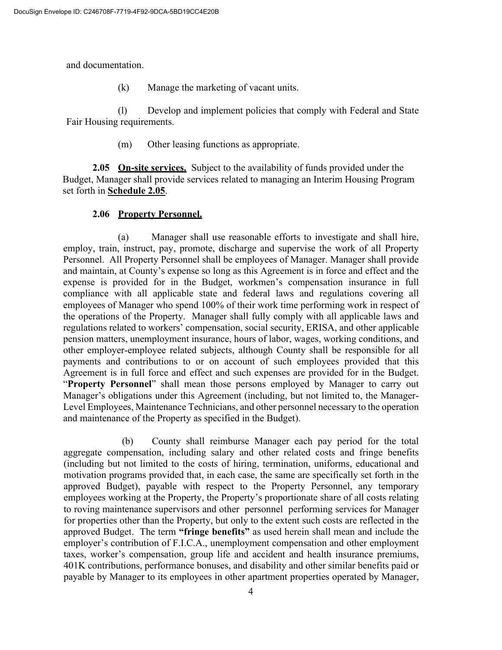and documentation.

(k) Manage the marketing of vacant units.

(l) Develop and implement policies that comply with Federal and State Fair Housing requirements.

(m) Other leasing functions as appropriate.

**2.05 On-site services.** Subject to the availability of funds provided under the Budget, Manager shall provide services related to managing an Interim Housing Program set forth in **Schedule 2.05**.

# **2.06 Property Personnel.**

(a) Manager shall use reasonable efforts to investigate and shall hire, employ, train, instruct, pay, promote, discharge and supervise the work of all Property Personnel. All Property Personnel shall be employees of Manager. Manager shall provide and maintain, at County's expense so long as this Agreement is in force and effect and the expense is provided for in the Budget, workmen's compensation insurance in full compliance with all applicable state and federal laws and regulations covering all employees of Manager who spend 100% of their work time performing work in respect of the operations of the Property. Manager shall fully comply with all applicable laws and regulations related to workers' compensation, social security, ERISA, and other applicable pension matters, unemployment insurance, hours of labor, wages, working conditions, and other employer-employee related subjects, although County shall be responsible for all payments and contributions to or on account of such employees provided that this Agreement is in full force and effect and such expenses are provided for in the Budget. "**Property Personnel**" shall mean those persons employed by Manager to carry out Manager's obligations under this Agreement (including, but not limited to, the Manager-Level Employees, Maintenance Technicians, and other personnel necessary to the operation and maintenance of the Property as specified in the Budget).

(b) County shall reimburse Manager each pay period for the total aggregate compensation, including salary and other related costs and fringe benefits (including but not limited to the costs of hiring, termination, uniforms, educational and motivation programs provided that, in each case, the same are specifically set forth in the approved Budget), payable with respect to the Property Personnel, any temporary employees working at the Property, the Property's proportionate share of all costs relating to roving maintenance supervisors and other personnel performing services for Manager for properties other than the Property, but only to the extent such costs are reflected in the approved Budget. The term **"fringe benefits"** as used herein shall mean and include the employer's contribution of F.I.C.A., unemployment compensation and other employment taxes, worker's compensation, group life and accident and health insurance premiums, 401K contributions, performance bonuses, and disability and other similar benefits paid or payable by Manager to its employees in other apartment properties operated by Manager,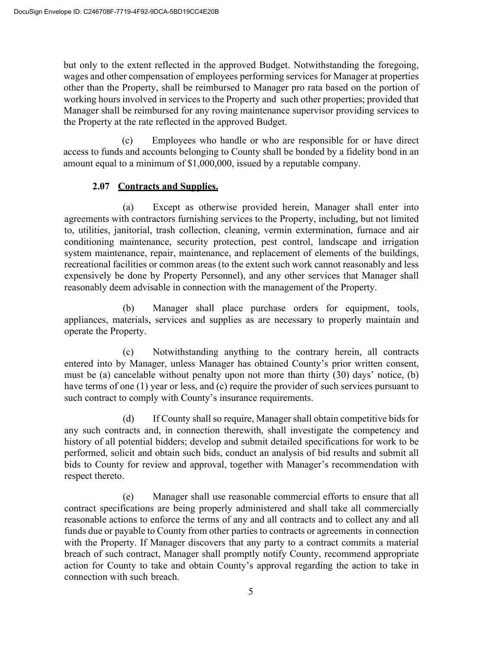but only to the extent reflected in the approved Budget. Notwithstanding the foregoing, wages and other compensation of employees performing services for Manager at properties other than the Property, shall be reimbursed to Manager pro rata based on the portion of working hours involved in services to the Property and such other properties; provided that Manager shall be reimbursed for any roving maintenance supervisor providing services to the Property at the rate reflected in the approved Budget.

(c) Employees who handle or who are responsible for or have direct access to funds and accounts belonging to County shall be bonded by a fidelity bond in an amount equal to a minimum of \$1,000,000, issued by a reputable company.

#### **2.07 Contracts and Supplies.**

(a) Except as otherwise provided herein, Manager shall enter into agreements with contractors furnishing services to the Property, including, but not limited to, utilities, janitorial, trash collection, cleaning, vermin extermination, furnace and air conditioning maintenance, security protection, pest control, landscape and irrigation system maintenance, repair, maintenance, and replacement of elements of the buildings, recreational facilities or common areas (to the extent such work cannot reasonably and less expensively be done by Property Personnel), and any other services that Manager shall reasonably deem advisable in connection with the management of the Property.

(b) Manager shall place purchase orders for equipment, tools, appliances, materials, services and supplies as are necessary to properly maintain and operate the Property.

(c) Notwithstanding anything to the contrary herein, all contracts entered into by Manager, unless Manager has obtained County's prior written consent, must be (a) cancelable without penalty upon not more than thirty (30) days' notice, (b) have terms of one (1) year or less, and (c) require the provider of such services pursuant to such contract to comply with County's insurance requirements.

(d) If County shall so require, Manager shall obtain competitive bids for any such contracts and, in connection therewith, shall investigate the competency and history of all potential bidders; develop and submit detailed specifications for work to be performed, solicit and obtain such bids, conduct an analysis of bid results and submit all bids to County for review and approval, together with Manager's recommendation with respect thereto.

(e) Manager shall use reasonable commercial efforts to ensure that all contract specifications are being properly administered and shall take all commercially reasonable actions to enforce the terms of any and all contracts and to collect any and all funds due or payable to County from other parties to contracts or agreements in connection with the Property. If Manager discovers that any party to a contract commits a material breach of such contract, Manager shall promptly notify County, recommend appropriate action for County to take and obtain County's approval regarding the action to take in connection with such breach.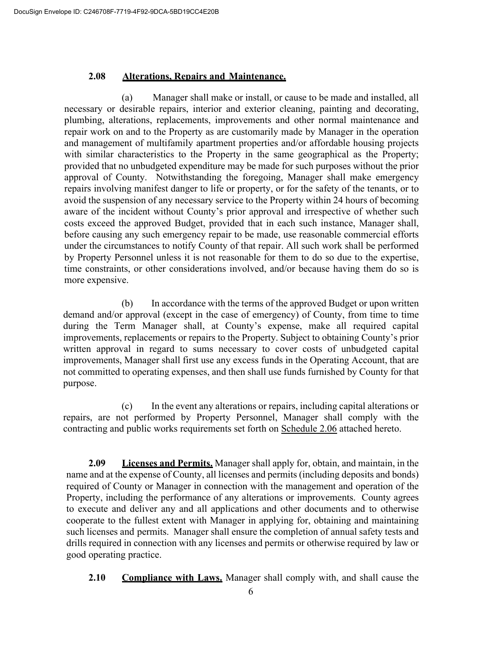#### **2.08 Alterations, Repairs and Maintenance.**

(a) Manager shall make or install, or cause to be made and installed, all necessary or desirable repairs, interior and exterior cleaning, painting and decorating, plumbing, alterations, replacements, improvements and other normal maintenance and repair work on and to the Property as are customarily made by Manager in the operation and management of multifamily apartment properties and/or affordable housing projects with similar characteristics to the Property in the same geographical as the Property; provided that no unbudgeted expenditure may be made for such purposes without the prior approval of County. Notwithstanding the foregoing, Manager shall make emergency repairs involving manifest danger to life or property, or for the safety of the tenants, or to avoid the suspension of any necessary service to the Property within 24 hours of becoming aware of the incident without County's prior approval and irrespective of whether such costs exceed the approved Budget, provided that in each such instance, Manager shall, before causing any such emergency repair to be made, use reasonable commercial efforts under the circumstances to notify County of that repair. All such work shall be performed by Property Personnel unless it is not reasonable for them to do so due to the expertise, time constraints, or other considerations involved, and/or because having them do so is more expensive.

(b) In accordance with the terms of the approved Budget or upon written demand and/or approval (except in the case of emergency) of County, from time to time during the Term Manager shall, at County's expense, make all required capital improvements, replacements or repairs to the Property. Subject to obtaining County's prior written approval in regard to sums necessary to cover costs of unbudgeted capital improvements, Manager shall first use any excess funds in the Operating Account, that are not committed to operating expenses, and then shall use funds furnished by County for that purpose.

(c) In the event any alterations or repairs, including capital alterations or repairs, are not performed by Property Personnel, Manager shall comply with the contracting and public works requirements set forth on Schedule 2.06 attached hereto.

**2.09 Licenses and Permits.** Manager shall apply for, obtain, and maintain, in the name and at the expense of County, all licenses and permits (including deposits and bonds) required of County or Manager in connection with the management and operation of the Property, including the performance of any alterations or improvements. County agrees to execute and deliver any and all applications and other documents and to otherwise cooperate to the fullest extent with Manager in applying for, obtaining and maintaining such licenses and permits. Manager shall ensure the completion of annual safety tests and drills required in connection with any licenses and permits or otherwise required by law or good operating practice.

**2.10 Compliance with Laws.** Manager shall comply with, and shall cause the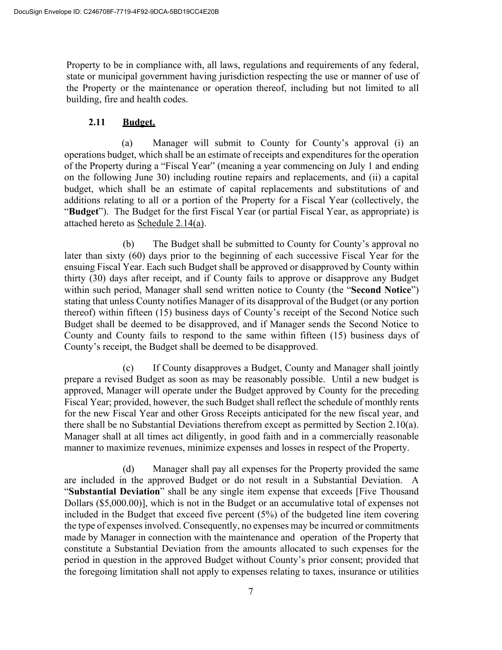Property to be in compliance with, all laws, regulations and requirements of any federal, state or municipal government having jurisdiction respecting the use or manner of use of the Property or the maintenance or operation thereof, including but not limited to all building, fire and health codes.

#### **2.11 Budget.**

(a) Manager will submit to County for County's approval (i) an operations budget, which shall be an estimate of receipts and expenditures for the operation of the Property during a "Fiscal Year" (meaning a year commencing on July 1 and ending on the following June 30) including routine repairs and replacements, and (ii) a capital budget, which shall be an estimate of capital replacements and substitutions of and additions relating to all or a portion of the Property for a Fiscal Year (collectively, the "**Budget**"). The Budget for the first Fiscal Year (or partial Fiscal Year, as appropriate) is attached hereto as Schedule 2.14(a).

(b) The Budget shall be submitted to County for County's approval no later than sixty (60) days prior to the beginning of each successive Fiscal Year for the ensuing Fiscal Year. Each such Budget shall be approved or disapproved by County within thirty (30) days after receipt, and if County fails to approve or disapprove any Budget within such period, Manager shall send written notice to County (the "**Second Notice**") stating that unless County notifies Manager of its disapproval of the Budget (or any portion thereof) within fifteen (15) business days of County's receipt of the Second Notice such Budget shall be deemed to be disapproved, and if Manager sends the Second Notice to County and County fails to respond to the same within fifteen (15) business days of County's receipt, the Budget shall be deemed to be disapproved.

(c) If County disapproves a Budget, County and Manager shall jointly prepare a revised Budget as soon as may be reasonably possible. Until a new budget is approved, Manager will operate under the Budget approved by County for the preceding Fiscal Year; provided, however, the such Budget shall reflect the schedule of monthly rents for the new Fiscal Year and other Gross Receipts anticipated for the new fiscal year, and there shall be no Substantial Deviations therefrom except as permitted by Section 2.10(a). Manager shall at all times act diligently, in good faith and in a commercially reasonable manner to maximize revenues, minimize expenses and losses in respect of the Property.

(d) Manager shall pay all expenses for the Property provided the same are included in the approved Budget or do not result in a Substantial Deviation. A "**Substantial Deviation**" shall be any single item expense that exceeds [Five Thousand Dollars (\$5,000.00)], which is not in the Budget or an accumulative total of expenses not included in the Budget that exceed five percent (5%) of the budgeted line item covering the type of expenses involved. Consequently, no expenses may be incurred or commitments made by Manager in connection with the maintenance and operation of the Property that constitute a Substantial Deviation from the amounts allocated to such expenses for the period in question in the approved Budget without County's prior consent; provided that the foregoing limitation shall not apply to expenses relating to taxes, insurance or utilities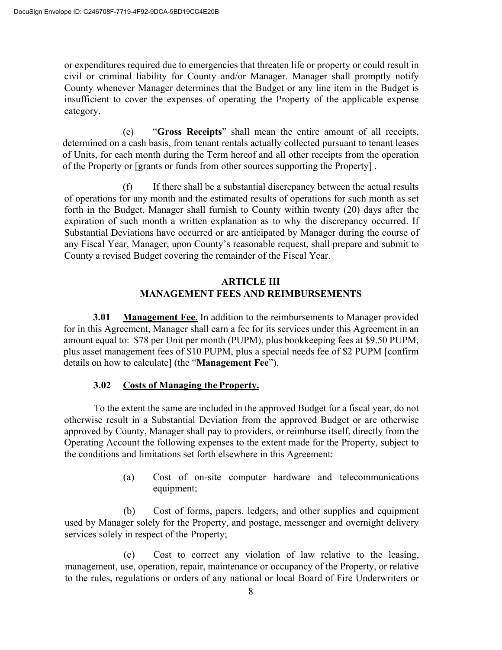or expenditures required due to emergencies that threaten life or property or could result in civil or criminal liability for County and/or Manager. Manager shall promptly notify County whenever Manager determines that the Budget or any line item in the Budget is insufficient to cover the expenses of operating the Property of the applicable expense category.

(e) "**Gross Receipts**" shall mean the entire amount of all receipts, determined on a cash basis, from tenant rentals actually collected pursuant to tenant leases of Units, for each month during the Term hereof and all other receipts from the operation of the Property or [grants or funds from other sources supporting the Property] .

(f) If there shall be a substantial discrepancy between the actual results of operations for any month and the estimated results of operations for such month as set forth in the Budget, Manager shall furnish to County within twenty (20) days after the expiration of such month a written explanation as to why the discrepancy occurred. If Substantial Deviations have occurred or are anticipated by Manager during the course of any Fiscal Year, Manager, upon County's reasonable request, shall prepare and submit to County a revised Budget covering the remainder of the Fiscal Year.

#### **ARTICLE III MANAGEMENT FEES AND REIMBURSEMENTS**

**3.01 Management Fee.** In addition to the reimbursements to Manager provided for in this Agreement, Manager shall earn a fee for its services under this Agreement in an amount equal to: \$78 per Unit per month (PUPM), plus bookkeeping fees at \$9.50 PUPM, plus asset management fees of \$10 PUPM, plus a special needs fee of \$2 PUPM [confirm details on how to calculate] (the "**Management Fee**").

# **3.02 Costs of Managing the Property.**

To the extent the same are included in the approved Budget for a fiscal year, do not otherwise result in a Substantial Deviation from the approved Budget or are otherwise approved by County, Manager shall pay to providers, or reimburse itself, directly from the Operating Account the following expenses to the extent made for the Property, subject to the conditions and limitations set forth elsewhere in this Agreement:

> (a) Cost of on-site computer hardware and telecommunications equipment;

(b) Cost of forms, papers, ledgers, and other supplies and equipment used by Manager solely for the Property, and postage, messenger and overnight delivery services solely in respect of the Property;

(c) Cost to correct any violation of law relative to the leasing, management, use, operation, repair, maintenance or occupancy of the Property, or relative to the rules, regulations or orders of any national or local Board of Fire Underwriters or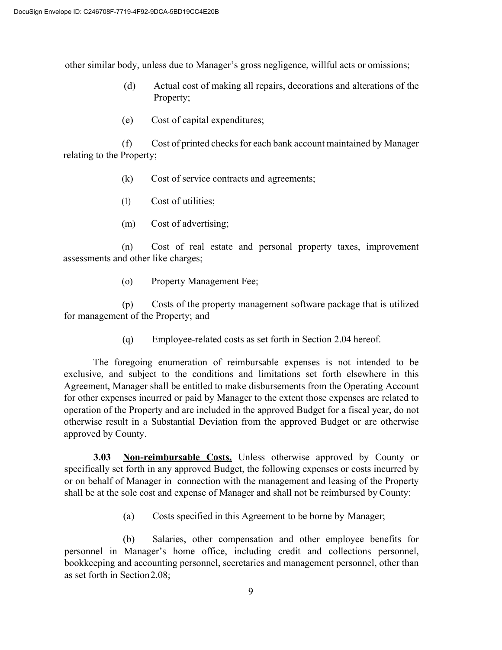other similar body, unless due to Manager's gross negligence, willful acts or omissions;

- (d) Actual cost of making all repairs, decorations and alterations of the Property;
- (e) Cost of capital expenditures;

(f) Cost of printed checks for each bank account maintained by Manager relating to the Property;

- (k) Cost of service contracts and agreements;
- (1) Cost of utilities;
- (m) Cost of advertising;

(n) Cost of real estate and personal property taxes, improvement assessments and other like charges;

(o) Property Management Fee;

(p) Costs of the property management software package that is utilized for management of the Property; and

(q) Employee-related costs as set forth in Section 2.04 hereof.

The foregoing enumeration of reimbursable expenses is not intended to be exclusive, and subject to the conditions and limitations set forth elsewhere in this Agreement, Manager shall be entitled to make disbursements from the Operating Account for other expenses incurred or paid by Manager to the extent those expenses are related to operation of the Property and are included in the approved Budget for a fiscal year, do not otherwise result in a Substantial Deviation from the approved Budget or are otherwise approved by County.

**3.03 Non-reimbursable Costs.** Unless otherwise approved by County or specifically set forth in any approved Budget, the following expenses or costs incurred by or on behalf of Manager in connection with the management and leasing of the Property shall be at the sole cost and expense of Manager and shall not be reimbursed by County:

(a) Costs specified in this Agreement to be borne by Manager;

(b) Salaries, other compensation and other employee benefits for personnel in Manager's home office, including credit and collections personnel, bookkeeping and accounting personnel, secretaries and management personnel, other than as set forth in Section2.08;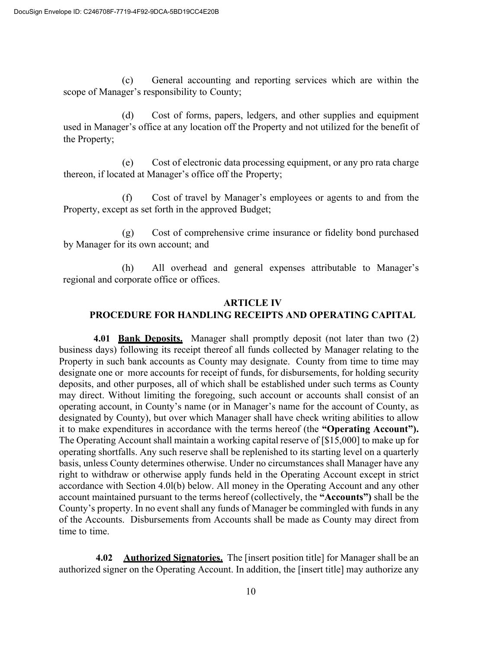(c) General accounting and reporting services which are within the scope of Manager's responsibility to County;

(d) Cost of forms, papers, ledgers, and other supplies and equipment used in Manager's office at any location off the Property and not utilized for the benefit of the Property;

(e) Cost of electronic data processing equipment, or any pro rata charge thereon, if located at Manager's office off the Property;

(f) Cost of travel by Manager's employees or agents to and from the Property, except as set forth in the approved Budget;

(g) Cost of comprehensive crime insurance or fidelity bond purchased by Manager for its own account; and

(h) All overhead and general expenses attributable to Manager's regional and corporate office or offices.

#### **ARTICLE IV**

#### **PROCEDURE FOR HANDLING RECEIPTS AND OPERATING CAPITAL**

**4.01 Bank Deposits.** Manager shall promptly deposit (not later than two (2) business days) following its receipt thereof all funds collected by Manager relating to the Property in such bank accounts as County may designate. County from time to time may designate one or more accounts for receipt of funds, for disbursements, for holding security deposits, and other purposes, all of which shall be established under such terms as County may direct. Without limiting the foregoing, such account or accounts shall consist of an operating account, in County's name (or in Manager's name for the account of County, as designated by County), but over which Manager shall have check writing abilities to allow it to make expenditures in accordance with the terms hereof (the **"Operating Account").**  The Operating Account shall maintain a working capital reserve of [\$15,000] to make up for operating shortfalls. Any such reserve shall be replenished to its starting level on a quarterly basis, unless County determines otherwise. Under no circumstances shall Manager have any right to withdraw or otherwise apply funds held in the Operating Account except in strict accordance with Section 4.0l(b) below. All money in the Operating Account and any other account maintained pursuant to the terms hereof (collectively, the **"Accounts")** shall be the County's property. In no event shall any funds of Manager be commingled with funds in any of the Accounts. Disbursements from Accounts shall be made as County may direct from time to time.

**4.02 Authorized Signatories.** The [insert position title] for Manager shall be an authorized signer on the Operating Account. In addition, the [insert title] may authorize any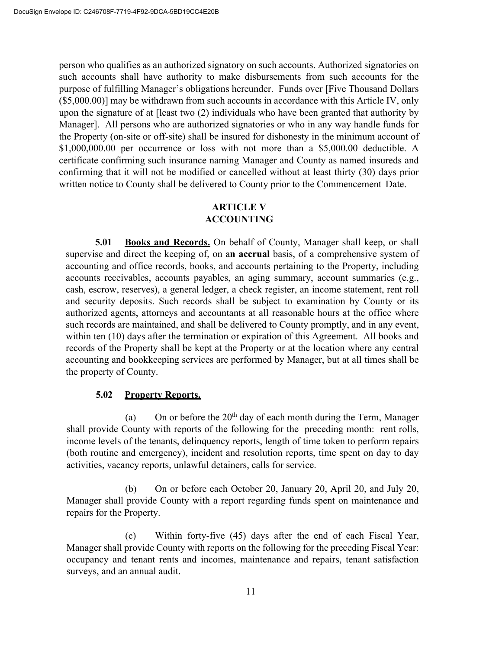person who qualifies as an authorized signatory on such accounts. Authorized signatories on such accounts shall have authority to make disbursements from such accounts for the purpose of fulfilling Manager's obligations hereunder. Funds over [Five Thousand Dollars (\$5,000.00)] may be withdrawn from such accounts in accordance with this Article IV, only upon the signature of at [least two (2) individuals who have been granted that authority by Manager]. All persons who are authorized signatories or who in any way handle funds for the Property (on-site or off-site) shall be insured for dishonesty in the minimum account of \$1,000,000.00 per occurrence or loss with not more than a \$5,000.00 deductible. A certificate confirming such insurance naming Manager and County as named insureds and confirming that it will not be modified or cancelled without at least thirty (30) days prior written notice to County shall be delivered to County prior to the Commencement Date.

# **ARTICLE V ACCOUNTING**

**5.01 Books and Records.** On behalf of County, Manager shall keep, or shall supervise and direct the keeping of, on a**n accrual** basis, of a comprehensive system of accounting and office records, books, and accounts pertaining to the Property, including accounts receivables, accounts payables, an aging summary, account summaries (e.g., cash, escrow, reserves), a general ledger, a check register, an income statement, rent roll and security deposits. Such records shall be subject to examination by County or its authorized agents, attorneys and accountants at all reasonable hours at the office where such records are maintained, and shall be delivered to County promptly, and in any event, within ten (10) days after the termination or expiration of this Agreement. All books and records of the Property shall be kept at the Property or at the location where any central accounting and bookkeeping services are performed by Manager, but at all times shall be the property of County.

# **5.02 Property Reports.**

(a) On or before the  $20<sup>th</sup>$  day of each month during the Term, Manager shall provide County with reports of the following for the preceding month: rent rolls, income levels of the tenants, delinquency reports, length of time token to perform repairs (both routine and emergency), incident and resolution reports, time spent on day to day activities, vacancy reports, unlawful detainers, calls for service.

(b) On or before each October 20, January 20, April 20, and July 20, Manager shall provide County with a report regarding funds spent on maintenance and repairs for the Property.

(c) Within forty-five (45) days after the end of each Fiscal Year, Manager shall provide County with reports on the following for the preceding Fiscal Year: occupancy and tenant rents and incomes, maintenance and repairs, tenant satisfaction surveys, and an annual audit.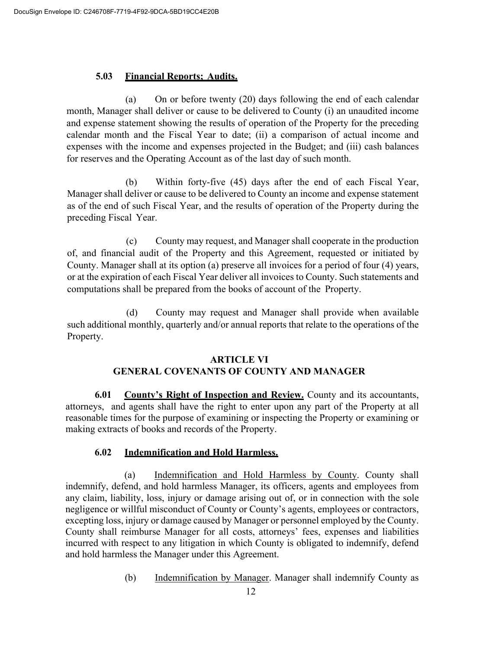#### **5.03 Financial Reports; Audits.**

(a) On or before twenty (20) days following the end of each calendar month, Manager shall deliver or cause to be delivered to County (i) an unaudited income and expense statement showing the results of operation of the Property for the preceding calendar month and the Fiscal Year to date; (ii) a comparison of actual income and expenses with the income and expenses projected in the Budget; and (iii) cash balances for reserves and the Operating Account as of the last day of such month.

(b) Within forty-five (45) days after the end of each Fiscal Year, Manager shall deliver or cause to be delivered to County an income and expense statement as of the end of such Fiscal Year, and the results of operation of the Property during the preceding Fiscal Year.

(c) County may request, and Manager shall cooperate in the production of, and financial audit of the Property and this Agreement, requested or initiated by County. Manager shall at its option (a) preserve all invoices for a period of four (4) years, or at the expiration of each Fiscal Year deliver all invoices to County. Such statements and computations shall be prepared from the books of account of the Property.

(d) County may request and Manager shall provide when available such additional monthly, quarterly and/or annual reports that relate to the operations of the Property.

#### **ARTICLE VI**

# **GENERAL COVENANTS OF COUNTY AND MANAGER**

**6.01 County's Right of Inspection and Review.** County and its accountants, attorneys, and agents shall have the right to enter upon any part of the Property at all reasonable times for the purpose of examining or inspecting the Property or examining or making extracts of books and records of the Property.

# **6.02 Indemnification and Hold Harmless.**

(a) Indemnification and Hold Harmless by County. County shall indemnify, defend, and hold harmless Manager, its officers, agents and employees from any claim, liability, loss, injury or damage arising out of, or in connection with the sole negligence or willful misconduct of County or County's agents, employees or contractors, excepting loss, injury or damage caused by Manager or personnel employed by the County. County shall reimburse Manager for all costs, attorneys' fees, expenses and liabilities incurred with respect to any litigation in which County is obligated to indemnify, defend and hold harmless the Manager under this Agreement.

(b) Indemnification by Manager. Manager shall indemnify County as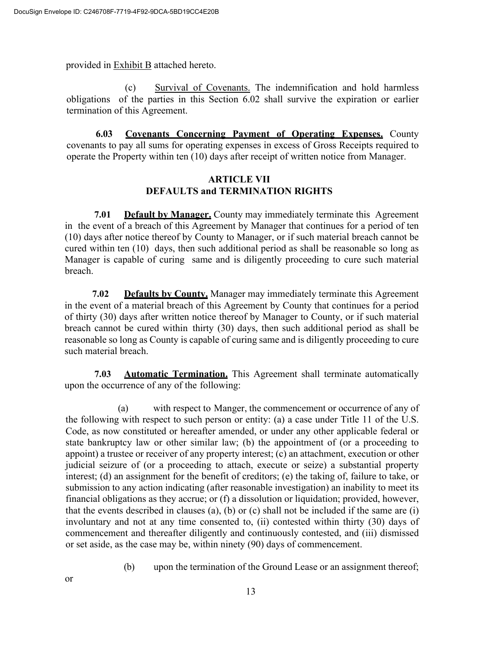provided in Exhibit B attached hereto.

(c) Survival of Covenants. The indemnification and hold harmless obligations of the parties in this Section 6.02 shall survive the expiration or earlier termination of this Agreement.

**6.03 Covenants Concerning Payment of Operating Expenses.** County covenants to pay all sums for operating expenses in excess of Gross Receipts required to operate the Property within ten (10) days after receipt of written notice from Manager.

#### **ARTICLE VII DEFAULTS and TERMINATION RIGHTS**

**7.01 Default by Manager.** County may immediately terminate this Agreement in the event of a breach of this Agreement by Manager that continues for a period of ten (10) days after notice thereof by County to Manager, or if such material breach cannot be cured within ten (10) days, then such additional period as shall be reasonable so long as Manager is capable of curing same and is diligently proceeding to cure such material breach.

**7.02 Defaults by County.** Manager may immediately terminate this Agreement in the event of a material breach of this Agreement by County that continues for a period of thirty (30) days after written notice thereof by Manager to County, or if such material breach cannot be cured within thirty (30) days, then such additional period as shall be reasonable so long as County is capable of curing same and is diligently proceeding to cure such material breach.

**7.03 Automatic Termination.** This Agreement shall terminate automatically upon the occurrence of any of the following:

(a) with respect to Manger, the commencement or occurrence of any of the following with respect to such person or entity: (a) a case under Title 11 of the U.S. Code, as now constituted or hereafter amended, or under any other applicable federal or state bankruptcy law or other similar law; (b) the appointment of (or a proceeding to appoint) a trustee or receiver of any property interest; (c) an attachment, execution or other judicial seizure of (or a proceeding to attach, execute or seize) a substantial property interest; (d) an assignment for the benefit of creditors; (e) the taking of, failure to take, or submission to any action indicating (after reasonable investigation) an inability to meet its financial obligations as they accrue; or (f) a dissolution or liquidation; provided, however, that the events described in clauses (a), (b) or (c) shall not be included if the same are (i) involuntary and not at any time consented to, (ii) contested within thirty (30) days of commencement and thereafter diligently and continuously contested, and (iii) dismissed or set aside, as the case may be, within ninety (90) days of commencement.

(b) upon the termination of the Ground Lease or an assignment thereof;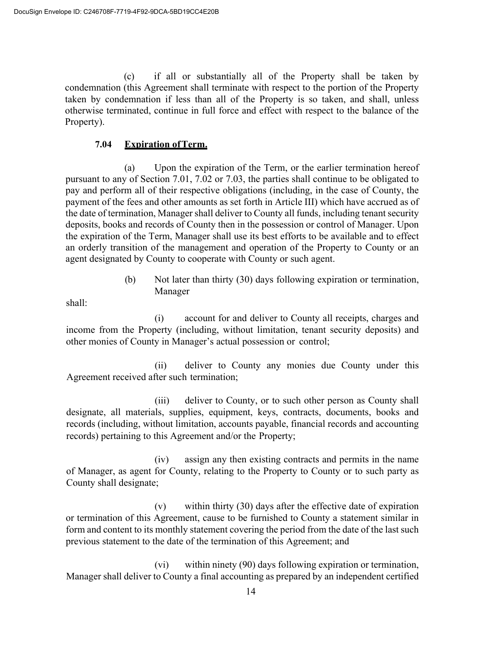(c) if all or substantially all of the Property shall be taken by condemnation (this Agreement shall terminate with respect to the portion of the Property taken by condemnation if less than all of the Property is so taken, and shall, unless otherwise terminated, continue in full force and effect with respect to the balance of the Property).

#### **7.04 Expiration ofTerm.**

(a) Upon the expiration of the Term, or the earlier termination hereof pursuant to any of Section 7.01, 7.02 or 7.03, the parties shall continue to be obligated to pay and perform all of their respective obligations (including, in the case of County, the payment of the fees and other amounts as set forth in Article III) which have accrued as of the date of termination, Manager shall deliver to County all funds, including tenant security deposits, books and records of County then in the possession or control of Manager. Upon the expiration of the Term, Manager shall use its best efforts to be available and to effect an orderly transition of the management and operation of the Property to County or an agent designated by County to cooperate with County or such agent.

> (b) Not later than thirty (30) days following expiration or termination, Manager

shall:

(i) account for and deliver to County all receipts, charges and income from the Property (including, without limitation, tenant security deposits) and other monies of County in Manager's actual possession or control;

(ii) deliver to County any monies due County under this Agreement received after such termination;

(iii) deliver to County, or to such other person as County shall designate, all materials, supplies, equipment, keys, contracts, documents, books and records (including, without limitation, accounts payable, financial records and accounting records) pertaining to this Agreement and/or the Property;

(iv) assign any then existing contracts and permits in the name of Manager, as agent for County, relating to the Property to County or to such party as County shall designate;

(v) within thirty (30) days after the effective date of expiration or termination of this Agreement, cause to be furnished to County a statement similar in form and content to its monthly statement covering the period from the date of the last such previous statement to the date of the termination of this Agreement; and

(vi) within ninety (90) days following expiration or termination, Manager shall deliver to County a final accounting as prepared by an independent certified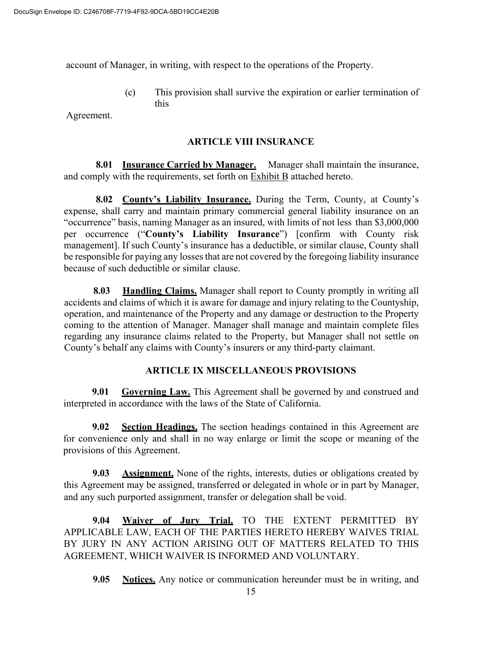account of Manager, in writing, with respect to the operations of the Property.

(c) This provision shall survive the expiration or earlier termination of this

Agreement.

#### **ARTICLE VIII INSURANCE**

**8.01 Insurance Carried by Manager.** Manager shall maintain the insurance, and comply with the requirements, set forth on Exhibit B attached hereto.

**8.02 County's Liability Insurance.** During the Term, County, at County's expense, shall carry and maintain primary commercial general liability insurance on an "occurrence" basis, naming Manager as an insured, with limits of not less than \$3,000,000 per occurrence ("**County's Liability Insurance**") [confirm with County risk management]. If such County's insurance has a deductible, or similar clause, County shall be responsible for paying any losses that are not covered by the foregoing liability insurance because of such deductible or similar clause.

**8.03 Handling Claims.** Manager shall report to County promptly in writing all accidents and claims of which it is aware for damage and injury relating to the Countyship, operation, and maintenance of the Property and any damage or destruction to the Property coming to the attention of Manager. Manager shall manage and maintain complete files regarding any insurance claims related to the Property, but Manager shall not settle on County's behalf any claims with County's insurers or any third-party claimant.

#### **ARTICLE IX MISCELLANEOUS PROVISIONS**

**9.01 Governing Law.** This Agreement shall be governed by and construed and interpreted in accordance with the laws of the State of California.

**9.02 Section Headings.** The section headings contained in this Agreement are for convenience only and shall in no way enlarge or limit the scope or meaning of the provisions of this Agreement.

**9.03 Assignment.** None of the rights, interests, duties or obligations created by this Agreement may be assigned, transferred or delegated in whole or in part by Manager, and any such purported assignment, transfer or delegation shall be void.

**9.04 Waiver of Jury Trial.** TO THE EXTENT PERMITTED BY APPLICABLE LAW, EACH OF THE PARTIES HERETO HEREBY WAIVES TRIAL BY JURY IN ANY ACTION ARISING OUT OF MATTERS RELATED TO THIS AGREEMENT, WHICH WAIVER IS INFORMED AND VOLUNTARY.

**9.05 Notices.** Any notice or communication hereunder must be in writing, and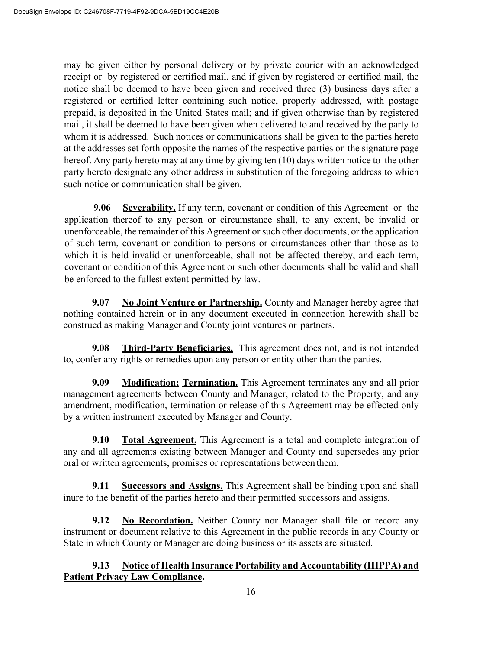may be given either by personal delivery or by private courier with an acknowledged receipt or by registered or certified mail, and if given by registered or certified mail, the notice shall be deemed to have been given and received three (3) business days after a registered or certified letter containing such notice, properly addressed, with postage prepaid, is deposited in the United States mail; and if given otherwise than by registered mail, it shall be deemed to have been given when delivered to and received by the party to whom it is addressed. Such notices or communications shall be given to the parties hereto at the addresses set forth opposite the names of the respective parties on the signature page hereof. Any party hereto may at any time by giving ten (10) days written notice to the other party hereto designate any other address in substitution of the foregoing address to which such notice or communication shall be given.

**9.06 Severability.** If any term, covenant or condition of this Agreement or the application thereof to any person or circumstance shall, to any extent, be invalid or unenforceable, the remainder of this Agreement or such other documents, or the application of such term, covenant or condition to persons or circumstances other than those as to which it is held invalid or unenforceable, shall not be affected thereby, and each term, covenant or condition of this Agreement or such other documents shall be valid and shall be enforced to the fullest extent permitted by law.

**9.07 No Joint Venture or Partnership.** County and Manager hereby agree that nothing contained herein or in any document executed in connection herewith shall be construed as making Manager and County joint ventures or partners.

**9.08 Third-Party Beneficiaries.** This agreement does not, and is not intended to, confer any rights or remedies upon any person or entity other than the parties.

**9.09 Modification; Termination.** This Agreement terminates any and all prior management agreements between County and Manager, related to the Property, and any amendment, modification, termination or release of this Agreement may be effected only by a written instrument executed by Manager and County.

**9.10 Total Agreement.** This Agreement is a total and complete integration of any and all agreements existing between Manager and County and supersedes any prior oral or written agreements, promises or representations between them.

**9.11 Successors and Assigns.** This Agreement shall be binding upon and shall inure to the benefit of the parties hereto and their permitted successors and assigns.

**9.12 No Recordation.** Neither County nor Manager shall file or record any instrument or document relative to this Agreement in the public records in any County or State in which County or Manager are doing business or its assets are situated.

# **9.13 Notice of Health Insurance Portability and Accountability (HIPPA) and Patient Privacy Law Compliance.**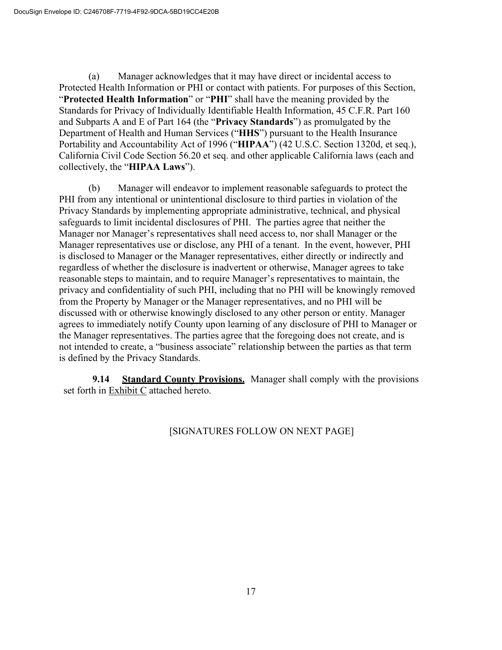(a) Manager acknowledges that it may have direct or incidental access to Protected Health Information or PHI or contact with patients. For purposes of this Section, "**Protected Health Information**" or "**PHI**" shall have the meaning provided by the Standards for Privacy of Individually Identifiable Health Information, 45 C.F.R. Part 160 and Subparts A and E of Part 164 (the "**Privacy Standards**") as promulgated by the Department of Health and Human Services ("**HHS**") pursuant to the Health Insurance Portability and Accountability Act of 1996 ("**HIPAA**") (42 U.S.C. Section 1320d, et seq.), California Civil Code Section 56.20 et seq. and other applicable California laws (each and collectively, the "**HIPAA Laws**").

(b) Manager will endeavor to implement reasonable safeguards to protect the PHI from any intentional or unintentional disclosure to third parties in violation of the Privacy Standards by implementing appropriate administrative, technical, and physical safeguards to limit incidental disclosures of PHI. The parties agree that neither the Manager nor Manager's representatives shall need access to, nor shall Manager or the Manager representatives use or disclose, any PHI of a tenant. In the event, however, PHI is disclosed to Manager or the Manager representatives, either directly or indirectly and regardless of whether the disclosure is inadvertent or otherwise, Manager agrees to take reasonable steps to maintain, and to require Manager's representatives to maintain, the privacy and confidentiality of such PHI, including that no PHI will be knowingly removed from the Property by Manager or the Manager representatives, and no PHI will be discussed with or otherwise knowingly disclosed to any other person or entity. Manager agrees to immediately notify County upon learning of any disclosure of PHI to Manager or the Manager representatives. The parties agree that the foregoing does not create, and is not intended to create, a "business associate" relationship between the parties as that term is defined by the Privacy Standards.

**9.14 Standard County Provisions.** Manager shall comply with the provisions set forth in Exhibit C attached hereto.

# [SIGNATURES FOLLOW ON NEXT PAGE]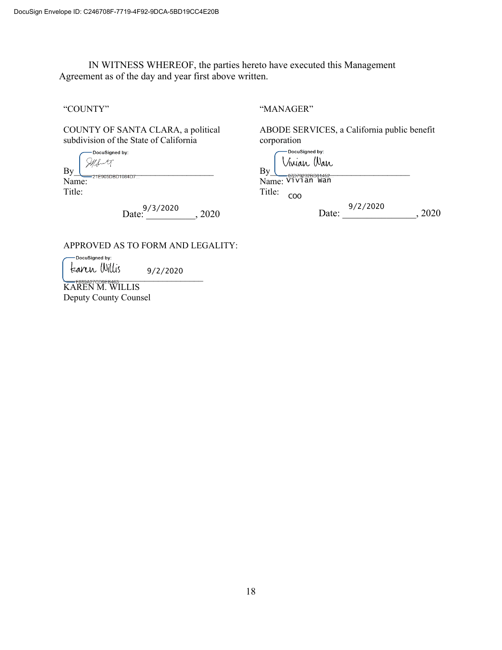IN WITNESS WHEREOF, the parties hereto have executed this Management Agreement as of the day and year first above written.

"COUNTY"

COUNTY OF SANTA CLARA, a political subdivision of the State of California

-DocuSigned by:  $By$   $\frac{\mathcal{A}}{\mathcal{A}}$   $\frac{\mathcal{A}}{\mathcal{A}}$   $\frac{\mathcal{A}}{\mathcal{A}}$   $\frac{\mathcal{A}}{\mathcal{A}}$   $\frac{\mathcal{A}}{\mathcal{A}}$   $\frac{\mathcal{A}}{\mathcal{A}}$   $\frac{\mathcal{A}}{\mathcal{A}}$   $\frac{\mathcal{A}}{\mathcal{A}}$   $\frac{\mathcal{A}}{\mathcal{A}}$   $\frac{\mathcal{A}}{\mathcal{A}}$   $\frac{\mathcal{A}}{\mathcal{A}}$   $\frac{\mathcal{A}}{\mathcal{A}}$   $\frac{\mathcal{A}}{\mathcal{$ Name:

Title:

Date: \_\_\_\_\_\_\_\_\_\_, 2020 9/3/2020

APPROVED AS TO FORM AND LEGALITY:

DocuSigned by: 9/2/2020  $\frac{1}{2}$   $\frac{1}{2}$   $\frac{1}{2}$   $\frac{1}{2}$   $\frac{1}{2}$   $\frac{1}{2}$   $\frac{1}{2}$   $\frac{1}{2}$   $\frac{1}{2}$   $\frac{1}{2}$   $\frac{1}{2}$   $\frac{1}{2}$   $\frac{1}{2}$   $\frac{1}{2}$   $\frac{1}{2}$   $\frac{1}{2}$   $\frac{1}{2}$   $\frac{1}{2}$   $\frac{1}{2}$   $\frac{1}{2}$   $\frac{1}{2}$   $\frac{1}{2}$ 

KAREN M. WILLIS Deputy County Counsel "MANAGER"

ABODE SERVICES, a California public benefit corporation

| DocuSigned by:<br>Vinian Wan |  |
|------------------------------|--|
| By                           |  |
| Name: V1V1an Wan             |  |
| Title:                       |  |

Date: <sup>9/2/2020</sup>, 2020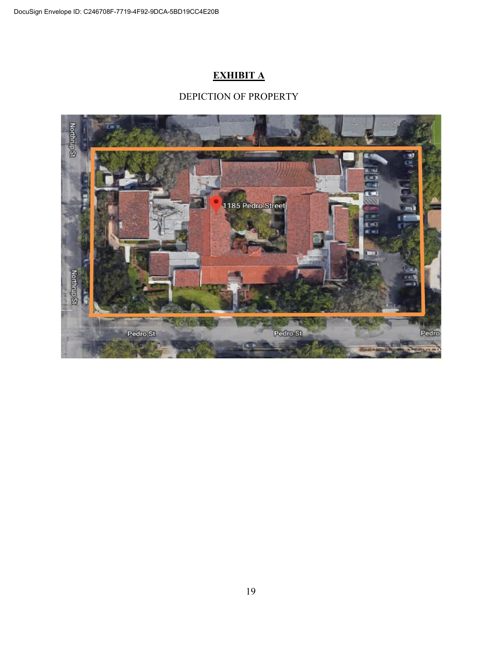# **EXHIBIT A**

# DEPICTION OF PROPERTY

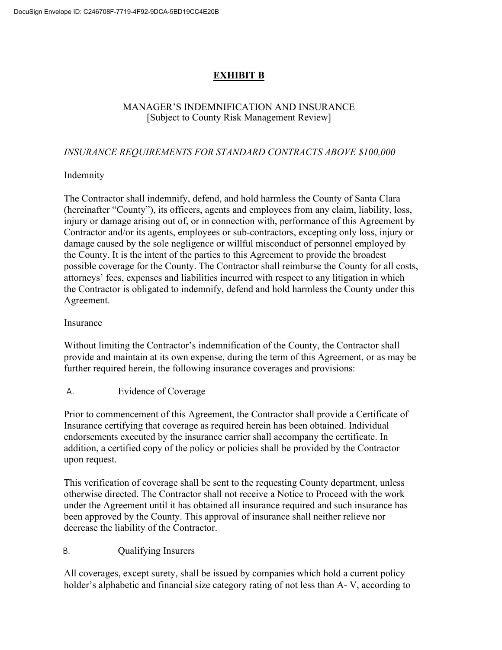# **EXHIBIT B**

# MANAGER'S INDEMNIFICATION AND INSURANCE [Subject to County Risk Management Review]

# *INSURANCE REQUIREMENTS FOR STANDARD CONTRACTS ABOVE \$100,000*

# Indemnity

The Contractor shall indemnify, defend, and hold harmless the County of Santa Clara (hereinafter "County"), its officers, agents and employees from any claim, liability, loss, injury or damage arising out of, or in connection with, performance of this Agreement by Contractor and/or its agents, employees or sub-contractors, excepting only loss, injury or damage caused by the sole negligence or willful misconduct of personnel employed by the County. It is the intent of the parties to this Agreement to provide the broadest possible coverage for the County. The Contractor shall reimburse the County for all costs, attorneys' fees, expenses and liabilities incurred with respect to any litigation in which the Contractor is obligated to indemnify, defend and hold harmless the County under this Agreement.

# Insurance

Without limiting the Contractor's indemnification of the County, the Contractor shall provide and maintain at its own expense, during the term of this Agreement, or as may be further required herein, the following insurance coverages and provisions:

# A. Evidence of Coverage

Prior to commencement of this Agreement, the Contractor shall provide a Certificate of Insurance certifying that coverage as required herein has been obtained. Individual endorsements executed by the insurance carrier shall accompany the certificate. In addition, a certified copy of the policy or policies shall be provided by the Contractor upon request.

This verification of coverage shall be sent to the requesting County department, unless otherwise directed. The Contractor shall not receive a Notice to Proceed with the work under the Agreement until it has obtained all insurance required and such insurance has been approved by the County. This approval of insurance shall neither relieve nor decrease the liability of the Contractor.

# B. Qualifying Insurers

All coverages, except surety, shall be issued by companies which hold a current policy holder's alphabetic and financial size category rating of not less than A- V, according to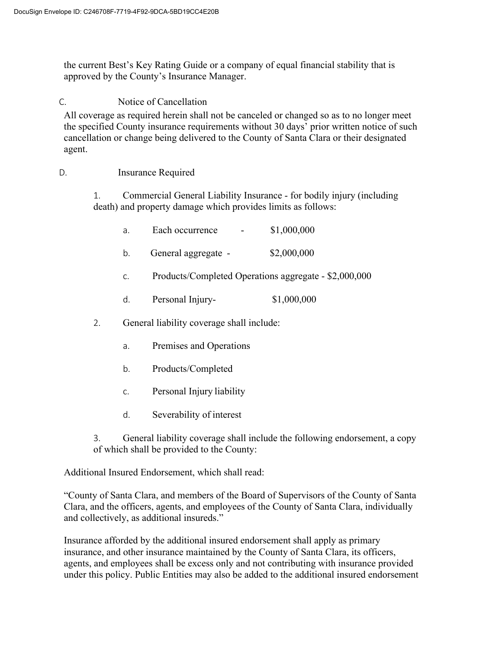the current Best's Key Rating Guide or a company of equal financial stability that is approved by the County's Insurance Manager.

# C. Notice of Cancellation

All coverage as required herein shall not be canceled or changed so as to no longer meet the specified County insurance requirements without 30 days' prior written notice of such cancellation or change being delivered to the County of Santa Clara or their designated agent.

# D. Insurance Required

1. Commercial General Liability Insurance - for bodily injury (including death) and property damage which provides limits as follows:

|    | a. | Each occurrence                           | \$1,000,000                                           |
|----|----|-------------------------------------------|-------------------------------------------------------|
|    | b. | General aggregate -                       | \$2,000,000                                           |
|    | C. |                                           | Products/Completed Operations aggregate - \$2,000,000 |
|    | d. | Personal Injury-                          | \$1,000,000                                           |
| 2. |    | General liability coverage shall include: |                                                       |
|    | a. | Premises and Operations                   |                                                       |
|    |    |                                           |                                                       |

- b. Products/Completed
- c. Personal Injury liability
- d. Severability of interest
- 3. General liability coverage shall include the following endorsement, a copy of which shall be provided to the County:

Additional Insured Endorsement, which shall read:

"County of Santa Clara, and members of the Board of Supervisors of the County of Santa Clara, and the officers, agents, and employees of the County of Santa Clara, individually and collectively, as additional insureds."

Insurance afforded by the additional insured endorsement shall apply as primary insurance, and other insurance maintained by the County of Santa Clara, its officers, agents, and employees shall be excess only and not contributing with insurance provided under this policy. Public Entities may also be added to the additional insured endorsement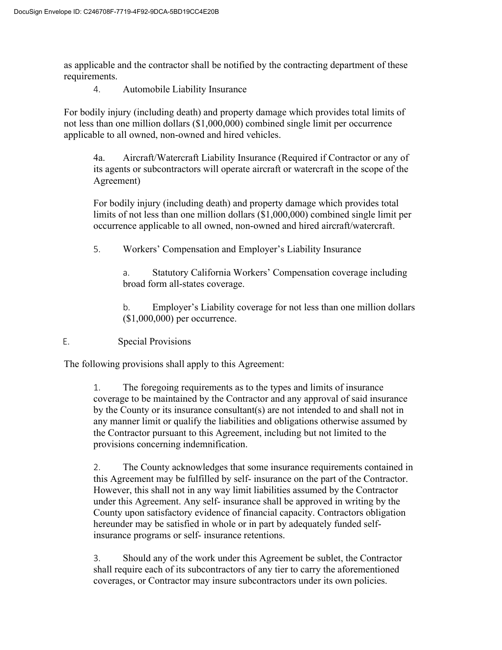as applicable and the contractor shall be notified by the contracting department of these requirements.

4. Automobile Liability Insurance

For bodily injury (including death) and property damage which provides total limits of not less than one million dollars (\$1,000,000) combined single limit per occurrence applicable to all owned, non-owned and hired vehicles.

4a. Aircraft/Watercraft Liability Insurance (Required if Contractor or any of its agents or subcontractors will operate aircraft or watercraft in the scope of the Agreement)

For bodily injury (including death) and property damage which provides total limits of not less than one million dollars (\$1,000,000) combined single limit per occurrence applicable to all owned, non-owned and hired aircraft/watercraft.

5. Workers' Compensation and Employer's Liability Insurance

a. Statutory California Workers' Compensation coverage including broad form all-states coverage.

b. Employer's Liability coverage for not less than one million dollars (\$1,000,000) per occurrence.

E. Special Provisions

The following provisions shall apply to this Agreement:

1. The foregoing requirements as to the types and limits of insurance coverage to be maintained by the Contractor and any approval of said insurance by the County or its insurance consultant(s) are not intended to and shall not in any manner limit or qualify the liabilities and obligations otherwise assumed by the Contractor pursuant to this Agreement, including but not limited to the provisions concerning indemnification.

2. The County acknowledges that some insurance requirements contained in this Agreement may be fulfilled by self- insurance on the part of the Contractor. However, this shall not in any way limit liabilities assumed by the Contractor under this Agreement. Any self- insurance shall be approved in writing by the County upon satisfactory evidence of financial capacity. Contractors obligation hereunder may be satisfied in whole or in part by adequately funded selfinsurance programs or self- insurance retentions.

3. Should any of the work under this Agreement be sublet, the Contractor shall require each of its subcontractors of any tier to carry the aforementioned coverages, or Contractor may insure subcontractors under its own policies.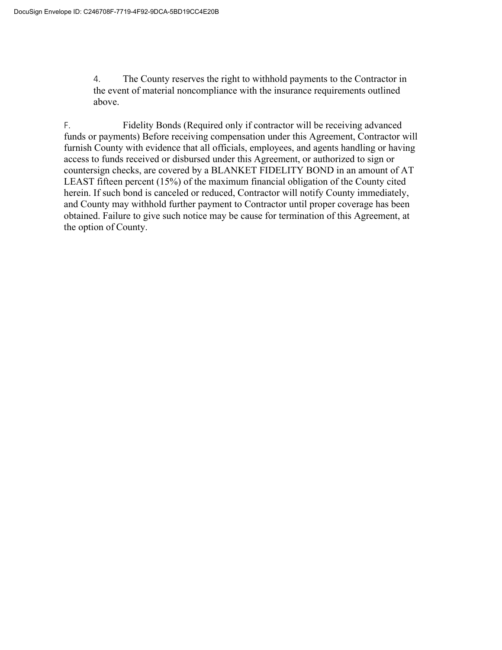4. The County reserves the right to withhold payments to the Contractor in the event of material noncompliance with the insurance requirements outlined above.

F. Fidelity Bonds (Required only if contractor will be receiving advanced funds or payments) Before receiving compensation under this Agreement, Contractor will furnish County with evidence that all officials, employees, and agents handling or having access to funds received or disbursed under this Agreement, or authorized to sign or countersign checks, are covered by a BLANKET FIDELITY BOND in an amount of AT LEAST fifteen percent (15%) of the maximum financial obligation of the County cited herein. If such bond is canceled or reduced, Contractor will notify County immediately, and County may withhold further payment to Contractor until proper coverage has been obtained. Failure to give such notice may be cause for termination of this Agreement, at the option of County.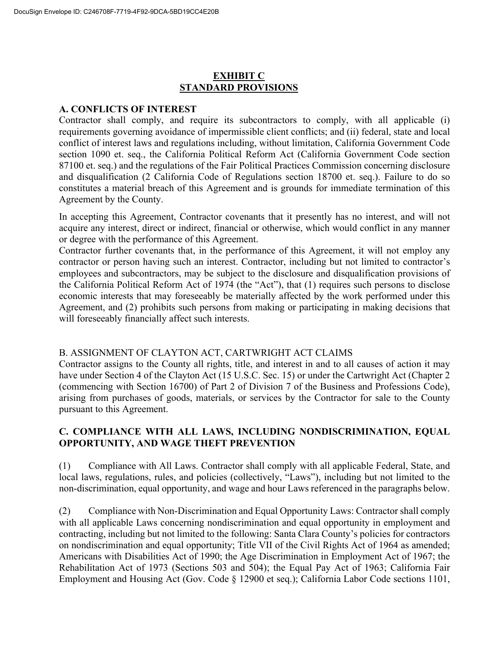# **EXHIBIT C STANDARD PROVISIONS**

#### **A. CONFLICTS OF INTEREST**

Contractor shall comply, and require its subcontractors to comply, with all applicable (i) requirements governing avoidance of impermissible client conflicts; and (ii) federal, state and local conflict of interest laws and regulations including, without limitation, California Government Code section 1090 et. seq., the California Political Reform Act (California Government Code section 87100 et. seq.) and the regulations of the Fair Political Practices Commission concerning disclosure and disqualification (2 California Code of Regulations section 18700 et. seq.). Failure to do so constitutes a material breach of this Agreement and is grounds for immediate termination of this Agreement by the County.

In accepting this Agreement, Contractor covenants that it presently has no interest, and will not acquire any interest, direct or indirect, financial or otherwise, which would conflict in any manner or degree with the performance of this Agreement.

Contractor further covenants that, in the performance of this Agreement, it will not employ any contractor or person having such an interest. Contractor, including but not limited to contractor's employees and subcontractors, may be subject to the disclosure and disqualification provisions of the California Political Reform Act of 1974 (the "Act"), that (1) requires such persons to disclose economic interests that may foreseeably be materially affected by the work performed under this Agreement, and (2) prohibits such persons from making or participating in making decisions that will foreseeably financially affect such interests.

#### B. ASSIGNMENT OF CLAYTON ACT, CARTWRIGHT ACT CLAIMS

Contractor assigns to the County all rights, title, and interest in and to all causes of action it may have under Section 4 of the Clayton Act (15 U.S.C. Sec. 15) or under the Cartwright Act (Chapter 2 (commencing with Section 16700) of Part 2 of Division 7 of the Business and Professions Code), arising from purchases of goods, materials, or services by the Contractor for sale to the County pursuant to this Agreement.

#### **C. COMPLIANCE WITH ALL LAWS, INCLUDING NONDISCRIMINATION, EQUAL OPPORTUNITY, AND WAGE THEFT PREVENTION**

(1) Compliance with All Laws. Contractor shall comply with all applicable Federal, State, and local laws, regulations, rules, and policies (collectively, "Laws"), including but not limited to the non-discrimination, equal opportunity, and wage and hour Laws referenced in the paragraphs below.

(2) Compliance with Non-Discrimination and Equal Opportunity Laws: Contractor shall comply with all applicable Laws concerning nondiscrimination and equal opportunity in employment and contracting, including but not limited to the following: Santa Clara County's policies for contractors on nondiscrimination and equal opportunity; Title VII of the Civil Rights Act of 1964 as amended; Americans with Disabilities Act of 1990; the Age Discrimination in Employment Act of 1967; the Rehabilitation Act of 1973 (Sections 503 and 504); the Equal Pay Act of 1963; California Fair Employment and Housing Act (Gov. Code § 12900 et seq.); California Labor Code sections 1101,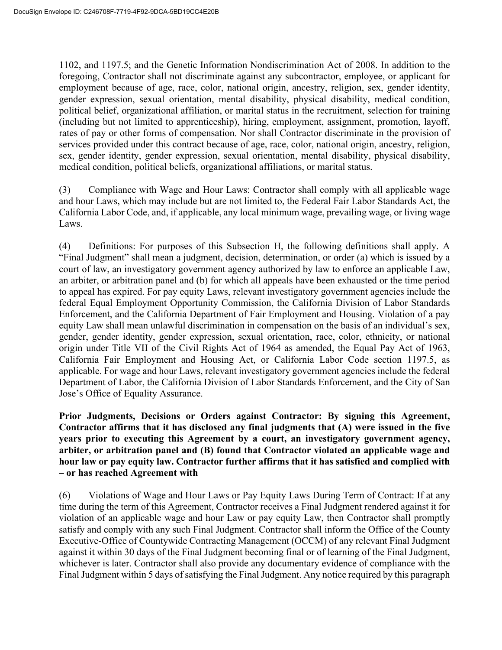1102, and 1197.5; and the Genetic Information Nondiscrimination Act of 2008. In addition to the foregoing, Contractor shall not discriminate against any subcontractor, employee, or applicant for employment because of age, race, color, national origin, ancestry, religion, sex, gender identity, gender expression, sexual orientation, mental disability, physical disability, medical condition, political belief, organizational affiliation, or marital status in the recruitment, selection for training (including but not limited to apprenticeship), hiring, employment, assignment, promotion, layoff, rates of pay or other forms of compensation. Nor shall Contractor discriminate in the provision of services provided under this contract because of age, race, color, national origin, ancestry, religion, sex, gender identity, gender expression, sexual orientation, mental disability, physical disability, medical condition, political beliefs, organizational affiliations, or marital status.

(3) Compliance with Wage and Hour Laws: Contractor shall comply with all applicable wage and hour Laws, which may include but are not limited to, the Federal Fair Labor Standards Act, the California Labor Code, and, if applicable, any local minimum wage, prevailing wage, or living wage Laws.

(4) Definitions: For purposes of this Subsection H, the following definitions shall apply. A "Final Judgment" shall mean a judgment, decision, determination, or order (a) which is issued by a court of law, an investigatory government agency authorized by law to enforce an applicable Law, an arbiter, or arbitration panel and (b) for which all appeals have been exhausted or the time period to appeal has expired. For pay equity Laws, relevant investigatory government agencies include the federal Equal Employment Opportunity Commission, the California Division of Labor Standards Enforcement, and the California Department of Fair Employment and Housing. Violation of a pay equity Law shall mean unlawful discrimination in compensation on the basis of an individual's sex, gender, gender identity, gender expression, sexual orientation, race, color, ethnicity, or national origin under Title VII of the Civil Rights Act of 1964 as amended, the Equal Pay Act of 1963, California Fair Employment and Housing Act, or California Labor Code section 1197.5, as applicable. For wage and hour Laws, relevant investigatory government agencies include the federal Department of Labor, the California Division of Labor Standards Enforcement, and the City of San Jose's Office of Equality Assurance.

**Prior Judgments, Decisions or Orders against Contractor: By signing this Agreement, Contractor affirms that it has disclosed any final judgments that (A) were issued in the five years prior to executing this Agreement by a court, an investigatory government agency, arbiter, or arbitration panel and (B) found that Contractor violated an applicable wage and hour law or pay equity law. Contractor further affirms that it has satisfied and complied with – or has reached Agreement with**

(6) Violations of Wage and Hour Laws or Pay Equity Laws During Term of Contract: If at any time during the term of this Agreement, Contractor receives a Final Judgment rendered against it for violation of an applicable wage and hour Law or pay equity Law, then Contractor shall promptly satisfy and comply with any such Final Judgment. Contractor shall inform the Office of the County Executive-Office of Countywide Contracting Management (OCCM) of any relevant Final Judgment against it within 30 days of the Final Judgment becoming final or of learning of the Final Judgment, whichever is later. Contractor shall also provide any documentary evidence of compliance with the Final Judgment within 5 days of satisfying the Final Judgment. Any notice required by this paragraph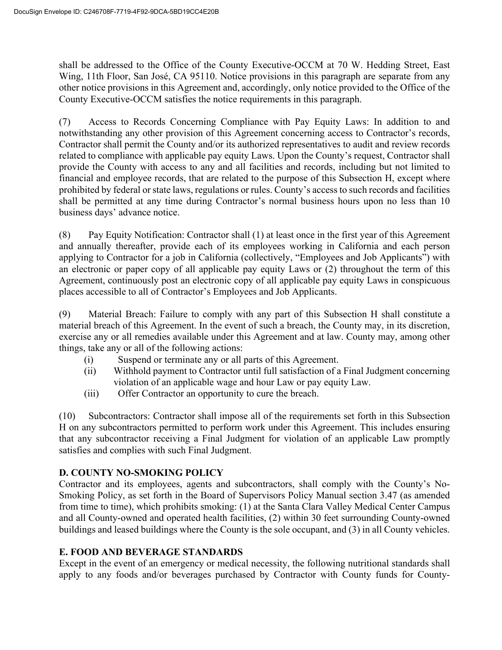shall be addressed to the Office of the County Executive-OCCM at 70 W. Hedding Street, East Wing, 11th Floor, San José, CA 95110. Notice provisions in this paragraph are separate from any other notice provisions in this Agreement and, accordingly, only notice provided to the Office of the County Executive-OCCM satisfies the notice requirements in this paragraph.

(7) Access to Records Concerning Compliance with Pay Equity Laws: In addition to and notwithstanding any other provision of this Agreement concerning access to Contractor's records, Contractor shall permit the County and/or its authorized representatives to audit and review records related to compliance with applicable pay equity Laws. Upon the County's request, Contractor shall provide the County with access to any and all facilities and records, including but not limited to financial and employee records, that are related to the purpose of this Subsection H, except where prohibited by federal or state laws, regulations or rules. County's access to such records and facilities shall be permitted at any time during Contractor's normal business hours upon no less than 10 business days' advance notice.

(8) Pay Equity Notification: Contractor shall (1) at least once in the first year of this Agreement and annually thereafter, provide each of its employees working in California and each person applying to Contractor for a job in California (collectively, "Employees and Job Applicants") with an electronic or paper copy of all applicable pay equity Laws or (2) throughout the term of this Agreement, continuously post an electronic copy of all applicable pay equity Laws in conspicuous places accessible to all of Contractor's Employees and Job Applicants.

(9) Material Breach: Failure to comply with any part of this Subsection H shall constitute a material breach of this Agreement. In the event of such a breach, the County may, in its discretion, exercise any or all remedies available under this Agreement and at law. County may, among other things, take any or all of the following actions:

- (i) Suspend or terminate any or all parts of this Agreement.
- (ii) Withhold payment to Contractor until full satisfaction of a Final Judgment concerning violation of an applicable wage and hour Law or pay equity Law.
- (iii) Offer Contractor an opportunity to cure the breach.

(10) Subcontractors: Contractor shall impose all of the requirements set forth in this Subsection H on any subcontractors permitted to perform work under this Agreement. This includes ensuring that any subcontractor receiving a Final Judgment for violation of an applicable Law promptly satisfies and complies with such Final Judgment.

# **D. COUNTY NO-SMOKING POLICY**

Contractor and its employees, agents and subcontractors, shall comply with the County's No-Smoking Policy, as set forth in the Board of Supervisors Policy Manual section 3.47 (as amended from time to time), which prohibits smoking: (1) at the Santa Clara Valley Medical Center Campus and all County-owned and operated health facilities, (2) within 30 feet surrounding County-owned buildings and leased buildings where the County is the sole occupant, and (3) in all County vehicles.

# **E. FOOD AND BEVERAGE STANDARDS**

Except in the event of an emergency or medical necessity, the following nutritional standards shall apply to any foods and/or beverages purchased by Contractor with County funds for County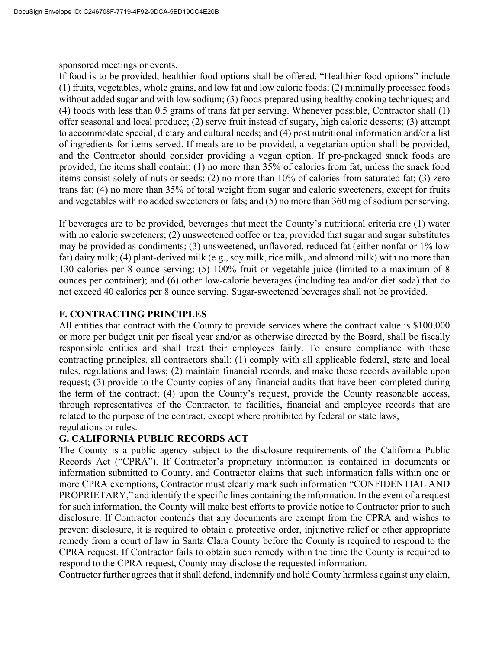sponsored meetings or events.

If food is to be provided, healthier food options shall be offered. "Healthier food options" include (1) fruits, vegetables, whole grains, and low fat and low calorie foods; (2) minimally processed foods without added sugar and with low sodium; (3) foods prepared using healthy cooking techniques; and (4) foods with less than 0.5 grams of trans fat per serving. Whenever possible, Contractor shall (1) offer seasonal and local produce; (2) serve fruit instead of sugary, high calorie desserts; (3) attempt to accommodate special, dietary and cultural needs; and (4) post nutritional information and/or a list of ingredients for items served. If meals are to be provided, a vegetarian option shall be provided, and the Contractor should consider providing a vegan option. If pre-packaged snack foods are provided, the items shall contain: (1) no more than 35% of calories from fat, unless the snack food items consist solely of nuts or seeds; (2) no more than 10% of calories from saturated fat; (3) zero trans fat; (4) no more than 35% of total weight from sugar and caloric sweeteners, except for fruits and vegetables with no added sweeteners or fats; and (5) no more than 360 mg of sodium per serving.

If beverages are to be provided, beverages that meet the County's nutritional criteria are (1) water with no caloric sweeteners; (2) unsweetened coffee or tea, provided that sugar and sugar substitutes may be provided as condiments; (3) unsweetened, unflavored, reduced fat (either nonfat or 1% low fat) dairy milk; (4) plant-derived milk (e.g., soy milk, rice milk, and almond milk) with no more than 130 calories per 8 ounce serving; (5) 100% fruit or vegetable juice (limited to a maximum of 8 ounces per container); and (6) other low-calorie beverages (including tea and/or diet soda) that do not exceed 40 calories per 8 ounce serving. Sugar-sweetened beverages shall not be provided.

# **F. CONTRACTING PRINCIPLES**

All entities that contract with the County to provide services where the contract value is \$100,000 or more per budget unit per fiscal year and/or as otherwise directed by the Board, shall be fiscally responsible entities and shall treat their employees fairly. To ensure compliance with these contracting principles, all contractors shall: (1) comply with all applicable federal, state and local rules, regulations and laws; (2) maintain financial records, and make those records available upon request; (3) provide to the County copies of any financial audits that have been completed during the term of the contract; (4) upon the County's request, provide the County reasonable access, through representatives of the Contractor, to facilities, financial and employee records that are related to the purpose of the contract, except where prohibited by federal or state laws, regulations or rules.

# **G. CALIFORNIA PUBLIC RECORDS ACT**

The County is a public agency subject to the disclosure requirements of the California Public Records Act ("CPRA"). If Contractor's proprietary information is contained in documents or information submitted to County, and Contractor claims that such information falls within one or more CPRA exemptions, Contractor must clearly mark such information "CONFIDENTIAL AND PROPRIETARY," and identify the specific lines containing the information. In the event of a request for such information, the County will make best efforts to provide notice to Contractor prior to such disclosure. If Contractor contends that any documents are exempt from the CPRA and wishes to prevent disclosure, it is required to obtain a protective order, injunctive relief or other appropriate remedy from a court of law in Santa Clara County before the County is required to respond to the CPRA request. If Contractor fails to obtain such remedy within the time the County is required to respond to the CPRA request, County may disclose the requested information.

Contractor further agrees that it shall defend, indemnify and hold County harmless against any claim,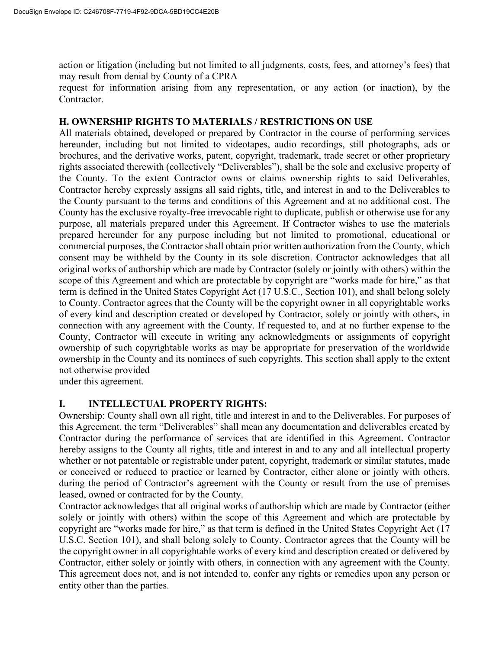action or litigation (including but not limited to all judgments, costs, fees, and attorney's fees) that may result from denial by County of a CPRA

request for information arising from any representation, or any action (or inaction), by the Contractor.

#### **H. OWNERSHIP RIGHTS TO MATERIALS / RESTRICTIONS ON USE**

All materials obtained, developed or prepared by Contractor in the course of performing services hereunder, including but not limited to videotapes, audio recordings, still photographs, ads or brochures, and the derivative works, patent, copyright, trademark, trade secret or other proprietary rights associated therewith (collectively "Deliverables"), shall be the sole and exclusive property of the County. To the extent Contractor owns or claims ownership rights to said Deliverables, Contractor hereby expressly assigns all said rights, title, and interest in and to the Deliverables to the County pursuant to the terms and conditions of this Agreement and at no additional cost. The County has the exclusive royalty-free irrevocable right to duplicate, publish or otherwise use for any purpose, all materials prepared under this Agreement. If Contractor wishes to use the materials prepared hereunder for any purpose including but not limited to promotional, educational or commercial purposes, the Contractor shall obtain prior written authorization from the County, which consent may be withheld by the County in its sole discretion. Contractor acknowledges that all original works of authorship which are made by Contractor (solely or jointly with others) within the scope of this Agreement and which are protectable by copyright are "works made for hire," as that term is defined in the United States Copyright Act (17 U.S.C., Section 101), and shall belong solely to County. Contractor agrees that the County will be the copyright owner in all copyrightable works of every kind and description created or developed by Contractor, solely or jointly with others, in connection with any agreement with the County. If requested to, and at no further expense to the County, Contractor will execute in writing any acknowledgments or assignments of copyright ownership of such copyrightable works as may be appropriate for preservation of the worldwide ownership in the County and its nominees of such copyrights. This section shall apply to the extent not otherwise provided

under this agreement.

# **I. INTELLECTUAL PROPERTY RIGHTS:**

Ownership: County shall own all right, title and interest in and to the Deliverables. For purposes of this Agreement, the term "Deliverables" shall mean any documentation and deliverables created by Contractor during the performance of services that are identified in this Agreement. Contractor hereby assigns to the County all rights, title and interest in and to any and all intellectual property whether or not patentable or registrable under patent, copyright, trademark or similar statutes, made or conceived or reduced to practice or learned by Contractor, either alone or jointly with others, during the period of Contractor's agreement with the County or result from the use of premises leased, owned or contracted for by the County.

Contractor acknowledges that all original works of authorship which are made by Contractor (either solely or jointly with others) within the scope of this Agreement and which are protectable by copyright are "works made for hire," as that term is defined in the United States Copyright Act (17 U.S.C. Section 101), and shall belong solely to County. Contractor agrees that the County will be the copyright owner in all copyrightable works of every kind and description created or delivered by Contractor, either solely or jointly with others, in connection with any agreement with the County. This agreement does not, and is not intended to, confer any rights or remedies upon any person or entity other than the parties.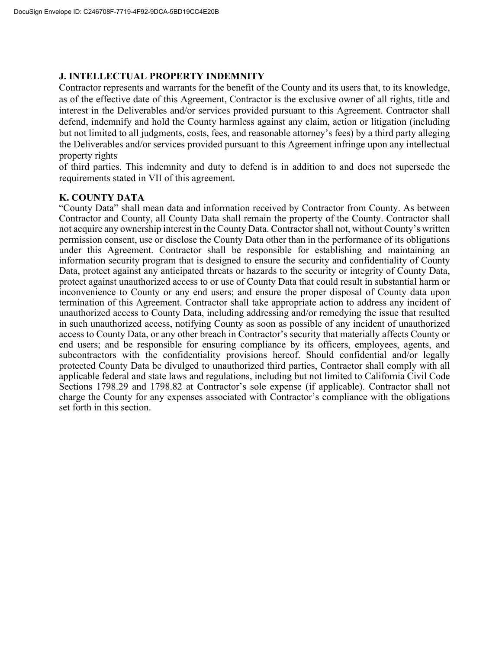#### **J. INTELLECTUAL PROPERTY INDEMNITY**

Contractor represents and warrants for the benefit of the County and its users that, to its knowledge, as of the effective date of this Agreement, Contractor is the exclusive owner of all rights, title and interest in the Deliverables and/or services provided pursuant to this Agreement. Contractor shall defend, indemnify and hold the County harmless against any claim, action or litigation (including but not limited to all judgments, costs, fees, and reasonable attorney's fees) by a third party alleging the Deliverables and/or services provided pursuant to this Agreement infringe upon any intellectual property rights

of third parties. This indemnity and duty to defend is in addition to and does not supersede the requirements stated in VII of this agreement.

#### **K. COUNTY DATA**

"County Data" shall mean data and information received by Contractor from County. As between Contractor and County, all County Data shall remain the property of the County. Contractor shall not acquire any ownership interest in the County Data. Contractor shall not, without County's written permission consent, use or disclose the County Data other than in the performance of its obligations under this Agreement. Contractor shall be responsible for establishing and maintaining an information security program that is designed to ensure the security and confidentiality of County Data, protect against any anticipated threats or hazards to the security or integrity of County Data, protect against unauthorized access to or use of County Data that could result in substantial harm or inconvenience to County or any end users; and ensure the proper disposal of County data upon termination of this Agreement. Contractor shall take appropriate action to address any incident of unauthorized access to County Data, including addressing and/or remedying the issue that resulted in such unauthorized access, notifying County as soon as possible of any incident of unauthorized access to County Data, or any other breach in Contractor's security that materially affects County or end users; and be responsible for ensuring compliance by its officers, employees, agents, and subcontractors with the confidentiality provisions hereof. Should confidential and/or legally protected County Data be divulged to unauthorized third parties, Contractor shall comply with all applicable federal and state laws and regulations, including but not limited to California Civil Code Sections 1798.29 and 1798.82 at Contractor's sole expense (if applicable). Contractor shall not charge the County for any expenses associated with Contractor's compliance with the obligations set forth in this section.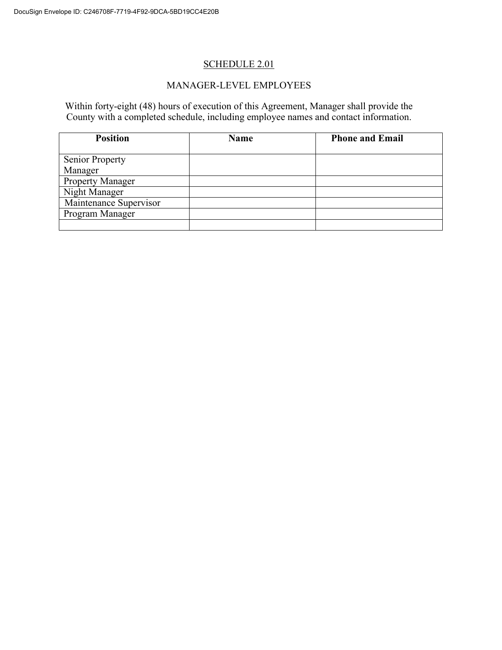# SCHEDULE 2.01

#### MANAGER-LEVEL EMPLOYEES

Within forty-eight (48) hours of execution of this Agreement, Manager shall provide the County with a completed schedule, including employee names and contact information.

| <b>Position</b>         | <b>Name</b> | <b>Phone and Email</b> |
|-------------------------|-------------|------------------------|
|                         |             |                        |
| <b>Senior Property</b>  |             |                        |
| Manager                 |             |                        |
| <b>Property Manager</b> |             |                        |
| Night Manager           |             |                        |
| Maintenance Supervisor  |             |                        |
| Program Manager         |             |                        |
|                         |             |                        |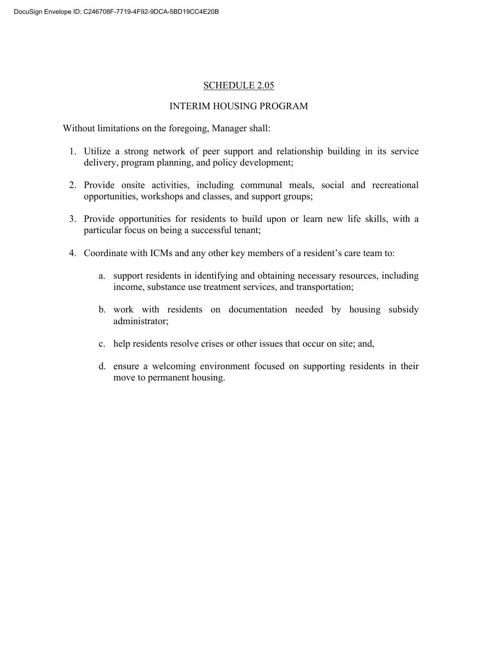#### SCHEDULE 2.05

#### INTERIM HOUSING PROGRAM

Without limitations on the foregoing, Manager shall:

- 1. Utilize a strong network of peer support and relationship building in its service delivery, program planning, and policy development;
- 2. Provide onsite activities, including communal meals, social and recreational opportunities, workshops and classes, and support groups;
- 3. Provide opportunities for residents to build upon or learn new life skills, with a particular focus on being a successful tenant;
- 4. Coordinate with ICMs and any other key members of a resident's care team to:
	- a. support residents in identifying and obtaining necessary resources, including income, substance use treatment services, and transportation;
	- b. work with residents on documentation needed by housing subsidy administrator;
	- c. help residents resolve crises or other issues that occur on site; and,
	- d. ensure a welcoming environment focused on supporting residents in their move to permanent housing.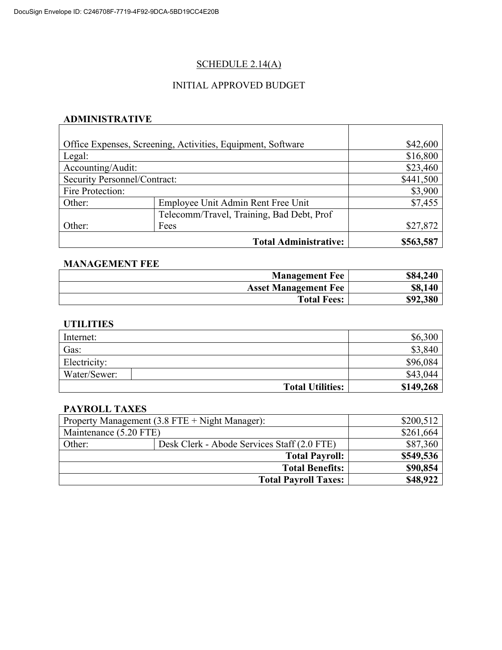# SCHEDULE 2.14(A)

#### INITIAL APPROVED BUDGET

# **ADMINISTRATIVE**

|                              | Office Expenses, Screening, Activities, Equipment, Software | \$42,600  |
|------------------------------|-------------------------------------------------------------|-----------|
| Legal:                       |                                                             | \$16,800  |
| Accounting/Audit:            |                                                             | \$23,460  |
| Security Personnel/Contract: |                                                             | \$441,500 |
| Fire Protection:             |                                                             | \$3,900   |
| Other:                       | Employee Unit Admin Rent Free Unit                          | \$7,455   |
|                              | Telecomm/Travel, Training, Bad Debt, Prof                   |           |
| Other:                       | Fees                                                        | \$27,872  |
|                              | <b>Total Administrative:</b>                                | \$563,587 |

 $\top$ 

#### **MANAGEMENT FEE**

| <b>Management Fee</b>       | \$84,240 |
|-----------------------------|----------|
| <b>Asset Management Fee</b> | \$8,140  |
| <b>Total Fees:</b>          | \$92,380 |

#### **UTILITIES**

| Internet:               | \$6,300   |
|-------------------------|-----------|
| Gas:                    | \$3,840   |
| Electricity:            | \$96,084  |
| Water/Sewer:            | \$43,044  |
| <b>Total Utilities:</b> | \$149,268 |

#### **PAYROLL TAXES**

|                        | Property Management (3.8 FTE + Night Manager): | \$200,512 |
|------------------------|------------------------------------------------|-----------|
| Maintenance (5.20 FTE) |                                                | \$261,664 |
| Other:                 | Desk Clerk - Abode Services Staff (2.0 FTE)    | \$87,360  |
|                        | <b>Total Payroll:</b>                          | \$549,536 |
|                        | <b>Total Benefits:</b>                         | \$90,854  |
|                        | <b>Total Payroll Taxes:</b>                    | \$48,922  |